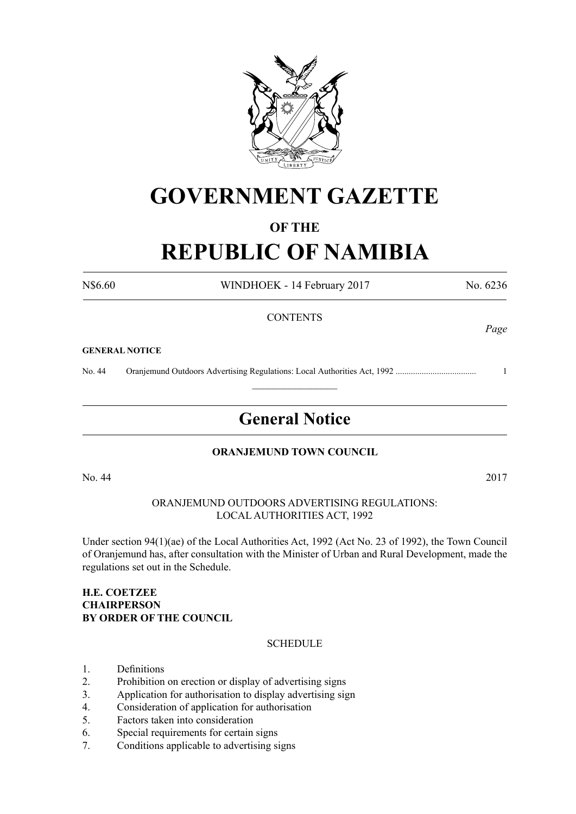

## **GOVERNMENT GAZETTE**

#### **OF THE**

# **REPUBLIC OF NAMIBIA**

N\$6.60 WINDHOEK - 14 February 2017 No. 6236

#### **CONTENTS**

#### **GENERAL NOTICE**

No. 44 Oranjemund Outdoors Advertising Regulations: Local Authorities Act, 1992 ..................................... 1

## **General Notice**

 $\frac{1}{2}$ 

#### **ORANJEMUND TOWN COUNCIL**

No. 44 2017

ORANJEMUND OUTDOORS ADVERTISING REGULATIONS: LOCAL AUTHORITIES ACT, 1992

Under section 94(1)(ae) of the Local Authorities Act, 1992 (Act No. 23 of 1992), the Town Council of Oranjemund has, after consultation with the Minister of Urban and Rural Development, made the regulations set out in the Schedule.

#### **H.E. Coetzee Chairperson By order of the Council**

#### **SCHEDULE**

- 1. Definitions
- 2. Prohibition on erection or display of advertising signs
- 3. Application for authorisation to display advertising sign
- 4. Consideration of application for authorisation
- 5. Factors taken into consideration
- 6. Special requirements for certain signs
- 7. Conditions applicable to advertising signs

## *Page*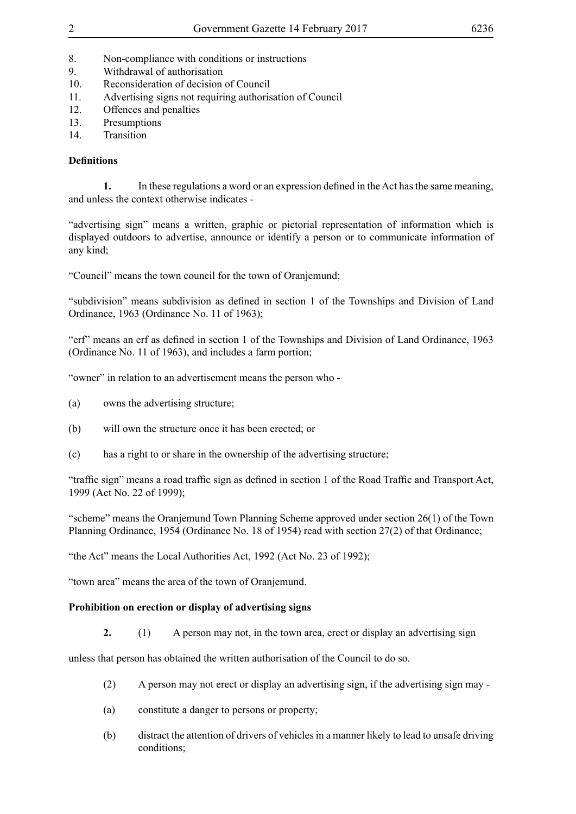- 8. Non-compliance with conditions or instructions
- 9. Withdrawal of authorisation
- 10. Reconsideration of decision of Council
- 11. Advertising signs not requiring authorisation of Council
- 12. Offences and penalties
- 13. Presumptions
- 14 Transition

### **Definitions**

**1.** In these regulations a word or an expression defined in the Act has the same meaning, and unless the context otherwise indicates -

"advertising sign" means a written, graphic or pictorial representation of information which is displayed outdoors to advertise, announce or identify a person or to communicate information of any kind;

"Council" means the town council for the town of Oranjemund;

"subdivision" means subdivision as defined in section 1 of the Townships and Division of Land Ordinance, 1963 (Ordinance No. 11 of 1963);

"erf" means an erf as defined in section 1 of the Townships and Division of Land Ordinance, 1963 (Ordinance No. 11 of 1963), and includes a farm portion;

"owner" in relation to an advertisement means the person who -

- (a) owns the advertising structure;
- (b) will own the structure once it has been erected; or
- (c) has a right to or share in the ownership of the advertising structure;

"traffic sign" means a road traffic sign as defined in section 1 of the Road Traffic and Transport Act, 1999 (Act No. 22 of 1999);

"scheme" means the Oranjemund Town Planning Scheme approved under section 26(1) of the Town Planning Ordinance, 1954 (Ordinance No. 18 of 1954) read with section 27(2) of that Ordinance;

"the Act" means the Local Authorities Act, 1992 (Act No. 23 of 1992);

"town area" means the area of the town of Oranjemund.

### **Prohibition on erection or display of advertising signs**

**2.** (1) A person may not, in the town area, erect or display an advertising sign

unless that person has obtained the written authorisation of the Council to do so.

- (2) A person may not erect or display an advertising sign, if the advertising sign may -
- (a) constitute a danger to persons or property;
- (b) distract the attention of drivers of vehicles in a manner likely to lead to unsafe driving conditions;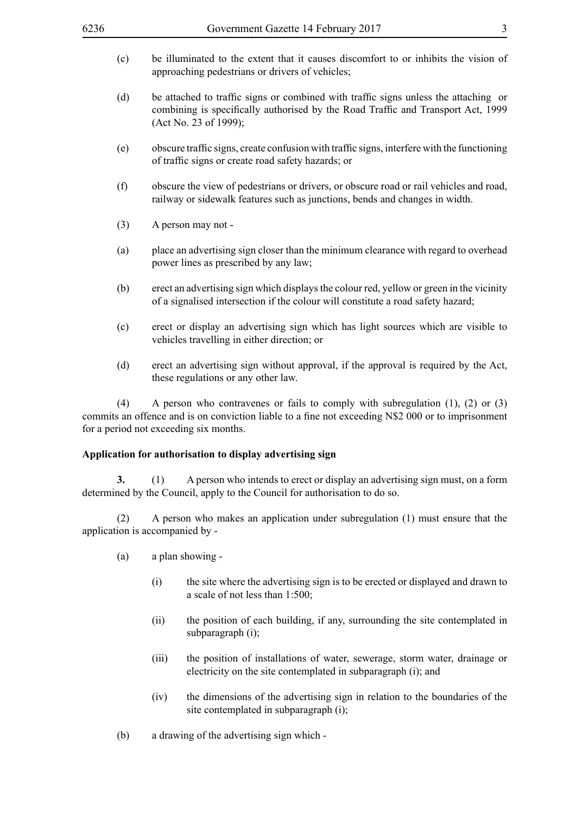| 6236                                                      | Government Gazette 14 February 2017<br>3                                                                                                                                                                                              |
|-----------------------------------------------------------|---------------------------------------------------------------------------------------------------------------------------------------------------------------------------------------------------------------------------------------|
| (c)                                                       | be illuminated to the extent that it causes discomfort to or inhibits the vision of<br>approaching pedestrians or drivers of vehicles;                                                                                                |
| (d)                                                       | be attached to traffic signs or combined with traffic signs unless the attaching or<br>combining is specifically authorised by the Road Traffic and Transport Act, 1999<br>(Act No. 23 of 1999);                                      |
| (e)                                                       | obscure traffic signs, create confusion with traffic signs, interfere with the functioning<br>of traffic signs or create road safety hazards; or                                                                                      |
| (f)                                                       | obscure the view of pedestrians or drivers, or obscure road or rail vehicles and road,<br>railway or sidewalk features such as junctions, bends and changes in width.                                                                 |
| (3)                                                       | A person may not -                                                                                                                                                                                                                    |
| (a)                                                       | place an advertising sign closer than the minimum clearance with regard to overhead<br>power lines as prescribed by any law;                                                                                                          |
| (b)                                                       | erect an advertising sign which displays the colour red, yellow or green in the vicinity<br>of a signalised intersection if the colour will constitute a road safety hazard;                                                          |
| (c)                                                       | erect or display an advertising sign which has light sources which are visible to<br>vehicles travelling in either direction; or                                                                                                      |
| (d)                                                       | erect an advertising sign without approval, if the approval is required by the Act,<br>these regulations or any other law.                                                                                                            |
| (4)                                                       | A person who contravenes or fails to comply with subregulation $(1)$ , $(2)$ or $(3)$<br>commits an offence and is on conviction liable to a fine not exceeding N\$2 000 or to imprisonment<br>for a period not exceeding six months. |
| Application for authorisation to display advertising sign |                                                                                                                                                                                                                                       |
| 3.                                                        | A person who intends to erect or display an advertising sign must, on a form<br>(1)<br>determined by the Council, apply to the Council for authorisation to do so.                                                                    |
| (2)                                                       | A person who makes an application under subregulation (1) must ensure that the<br>application is accompanied by -                                                                                                                     |
| (a)                                                       | a plan showing -                                                                                                                                                                                                                      |
|                                                           | the site where the advertising sign is to be erected or displayed and drawn to<br>(i)<br>a scale of not less than 1:500;                                                                                                              |

- (ii) the position of each building, if any, surrounding the site contemplated in subparagraph (i);
- (iii) the position of installations of water, sewerage, storm water, drainage or electricity on the site contemplated in subparagraph (i); and
- (iv) the dimensions of the advertising sign in relation to the boundaries of the site contemplated in subparagraph (i);
- (b) a drawing of the advertising sign which -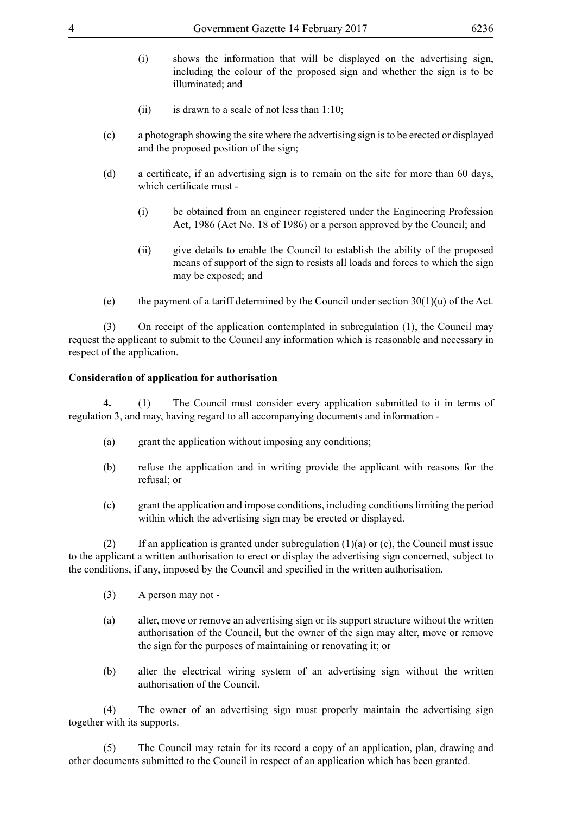- (i) shows the information that will be displayed on the advertising sign, including the colour of the proposed sign and whether the sign is to be illuminated; and
- (ii) is drawn to a scale of not less than  $1:10$ ;
- (c) a photograph showing the site where the advertising sign is to be erected or displayed and the proposed position of the sign;
- (d) a certificate, if an advertising sign is to remain on the site for more than 60 days, which certificate must -
	- (i) be obtained from an engineer registered under the Engineering Profession Act, 1986 (Act No. 18 of 1986) or a person approved by the Council; and
	- (ii) give details to enable the Council to establish the ability of the proposed means of support of the sign to resists all loads and forces to which the sign may be exposed; and
- (e) the payment of a tariff determined by the Council under section  $30(1)(u)$  of the Act.

(3) On receipt of the application contemplated in subregulation (1), the Council may request the applicant to submit to the Council any information which is reasonable and necessary in respect of the application.

#### **Consideration of application for authorisation**

**4.** (1) The Council must consider every application submitted to it in terms of regulation 3, and may, having regard to all accompanying documents and information -

- (a) grant the application without imposing any conditions;
- (b) refuse the application and in writing provide the applicant with reasons for the refusal; or
- (c) grant the application and impose conditions, including conditions limiting the period within which the advertising sign may be erected or displayed.

(2) If an application is granted under subregulation  $(1)(a)$  or  $(c)$ , the Council must issue to the applicant a written authorisation to erect or display the advertising sign concerned, subject to the conditions, if any, imposed by the Council and specified in the written authorisation.

- (3) A person may not -
- (a) alter, move or remove an advertising sign or its support structure without the written authorisation of the Council, but the owner of the sign may alter, move or remove the sign for the purposes of maintaining or renovating it; or
- (b) alter the electrical wiring system of an advertising sign without the written authorisation of the Council.

(4) The owner of an advertising sign must properly maintain the advertising sign together with its supports.

(5) The Council may retain for its record a copy of an application, plan, drawing and other documents submitted to the Council in respect of an application which has been granted.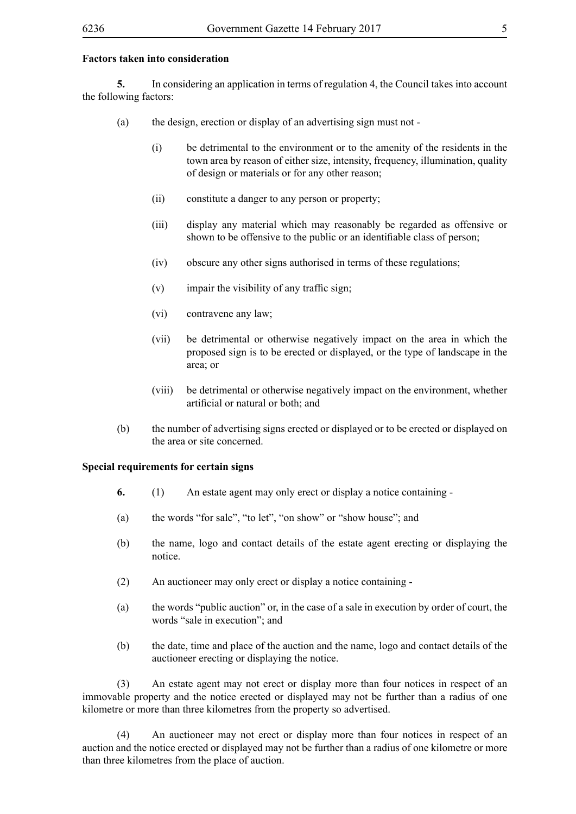#### **Factors taken into consideration**

**5.** In considering an application in terms of regulation 4, the Council takes into account the following factors:

- (a) the design, erection or display of an advertising sign must not
	- (i) be detrimental to the environment or to the amenity of the residents in the town area by reason of either size, intensity, frequency, illumination, quality of design or materials or for any other reason;
	- (ii) constitute a danger to any person or property;
	- (iii) display any material which may reasonably be regarded as offensive or shown to be offensive to the public or an identifiable class of person;
	- (iv) obscure any other signs authorised in terms of these regulations;
	- $(v)$  impair the visibility of any traffic sign;
	- (vi) contravene any law;
	- (vii) be detrimental or otherwise negatively impact on the area in which the proposed sign is to be erected or displayed, or the type of landscape in the area; or
	- (viii) be detrimental or otherwise negatively impact on the environment, whether artificial or natural or both; and
- (b) the number of advertising signs erected or displayed or to be erected or displayed on the area or site concerned.

#### **Special requirements for certain signs**

- **6.** (1) An estate agent may only erect or display a notice containing -
- (a) the words "for sale", "to let", "on show" or "show house"; and
- (b) the name, logo and contact details of the estate agent erecting or displaying the notice.
- (2) An auctioneer may only erect or display a notice containing -
- (a) the words "public auction" or, in the case of a sale in execution by order of court, the words "sale in execution"; and
- (b) the date, time and place of the auction and the name, logo and contact details of the auctioneer erecting or displaying the notice.

(3) An estate agent may not erect or display more than four notices in respect of an immovable property and the notice erected or displayed may not be further than a radius of one kilometre or more than three kilometres from the property so advertised.

(4) An auctioneer may not erect or display more than four notices in respect of an auction and the notice erected or displayed may not be further than a radius of one kilometre or more than three kilometres from the place of auction.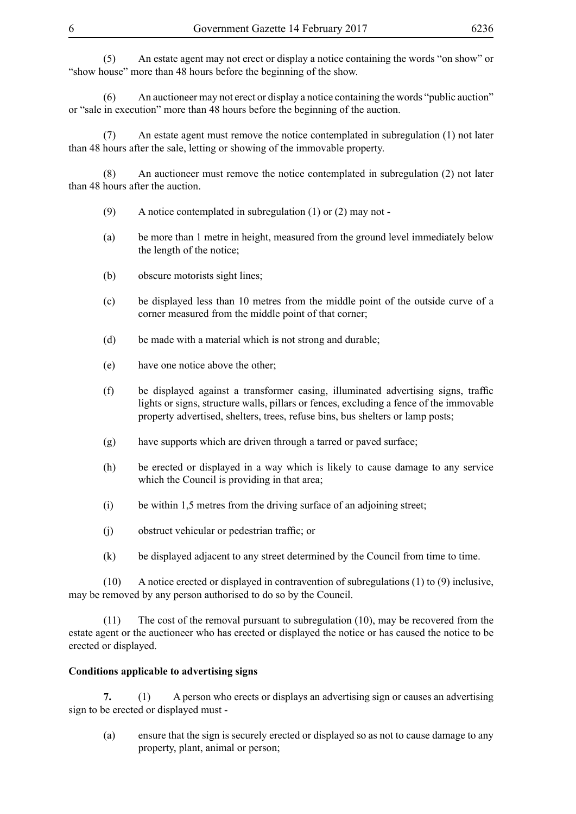(5) An estate agent may not erect or display a notice containing the words "on show" or "show house" more than 48 hours before the beginning of the show.

(6) An auctioneer may not erect or display a notice containing the words "public auction" or "sale in execution" more than 48 hours before the beginning of the auction.

(7) An estate agent must remove the notice contemplated in subregulation (1) not later than 48 hours after the sale, letting or showing of the immovable property.

(8) An auctioneer must remove the notice contemplated in subregulation (2) not later than 48 hours after the auction.

- (9) A notice contemplated in subregulation  $(1)$  or  $(2)$  may not -
- (a) be more than 1 metre in height, measured from the ground level immediately below the length of the notice;
- (b) obscure motorists sight lines;
- (c) be displayed less than 10 metres from the middle point of the outside curve of a corner measured from the middle point of that corner;
- (d) be made with a material which is not strong and durable;
- (e) have one notice above the other;
- (f) be displayed against a transformer casing, illuminated advertising signs, traffic lights or signs, structure walls, pillars or fences, excluding a fence of the immovable property advertised, shelters, trees, refuse bins, bus shelters or lamp posts;
- (g) have supports which are driven through a tarred or paved surface;
- (h) be erected or displayed in a way which is likely to cause damage to any service which the Council is providing in that area;
- (i) be within 1,5 metres from the driving surface of an adjoining street;
- (j) obstruct vehicular or pedestrian traffic; or
- (k) be displayed adjacent to any street determined by the Council from time to time.

(10) A notice erected or displayed in contravention of subregulations (1) to (9) inclusive, may be removed by any person authorised to do so by the Council.

(11) The cost of the removal pursuant to subregulation (10), may be recovered from the estate agent or the auctioneer who has erected or displayed the notice or has caused the notice to be erected or displayed.

#### **Conditions applicable to advertising signs**

**7.** (1) A person who erects or displays an advertising sign or causes an advertising sign to be erected or displayed must -

(a) ensure that the sign is securely erected or displayed so as not to cause damage to any property, plant, animal or person;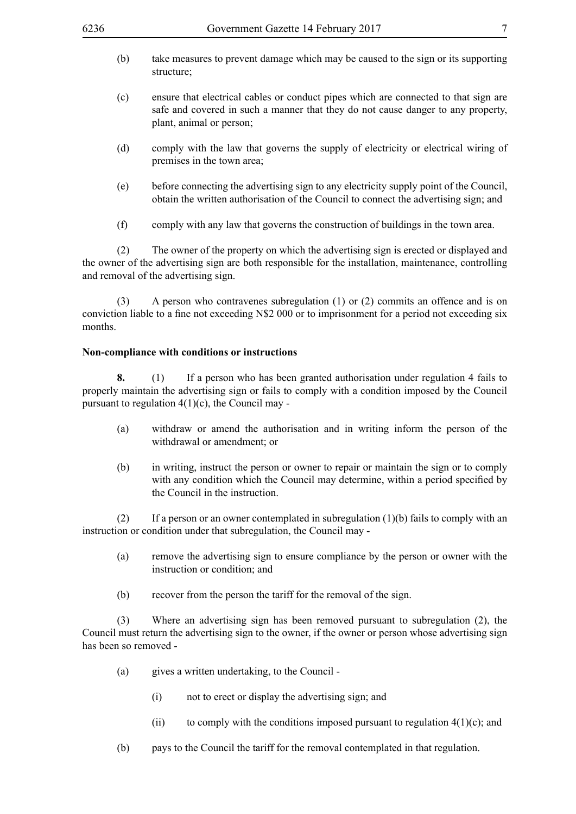- (b) take measures to prevent damage which may be caused to the sign or its supporting structure;
- (c) ensure that electrical cables or conduct pipes which are connected to that sign are safe and covered in such a manner that they do not cause danger to any property, plant, animal or person;
- (d) comply with the law that governs the supply of electricity or electrical wiring of premises in the town area;
- (e) before connecting the advertising sign to any electricity supply point of the Council, obtain the written authorisation of the Council to connect the advertising sign; and
- (f) comply with any law that governs the construction of buildings in the town area.

(2) The owner of the property on which the advertising sign is erected or displayed and the owner of the advertising sign are both responsible for the installation, maintenance, controlling and removal of the advertising sign.

(3) A person who contravenes subregulation (1) or (2) commits an offence and is on conviction liable to a fine not exceeding N\$2 000 or to imprisonment for a period not exceeding six months.

#### **Non-compliance with conditions or instructions**

**8.** (1) If a person who has been granted authorisation under regulation 4 fails to properly maintain the advertising sign or fails to comply with a condition imposed by the Council pursuant to regulation  $4(1)(c)$ , the Council may -

- (a) withdraw or amend the authorisation and in writing inform the person of the withdrawal or amendment; or
- (b) in writing, instruct the person or owner to repair or maintain the sign or to comply with any condition which the Council may determine, within a period specified by the Council in the instruction.

(2) If a person or an owner contemplated in subregulation (1)(b) fails to comply with an instruction or condition under that subregulation, the Council may -

- (a) remove the advertising sign to ensure compliance by the person or owner with the instruction or condition; and
- (b) recover from the person the tariff for the removal of the sign.

(3) Where an advertising sign has been removed pursuant to subregulation (2), the Council must return the advertising sign to the owner, if the owner or person whose advertising sign has been so removed -

- (a) gives a written undertaking, to the Council
	- (i) not to erect or display the advertising sign; and
	- (ii) to comply with the conditions imposed pursuant to regulation  $4(1)(c)$ ; and
- (b) pays to the Council the tariff for the removal contemplated in that regulation.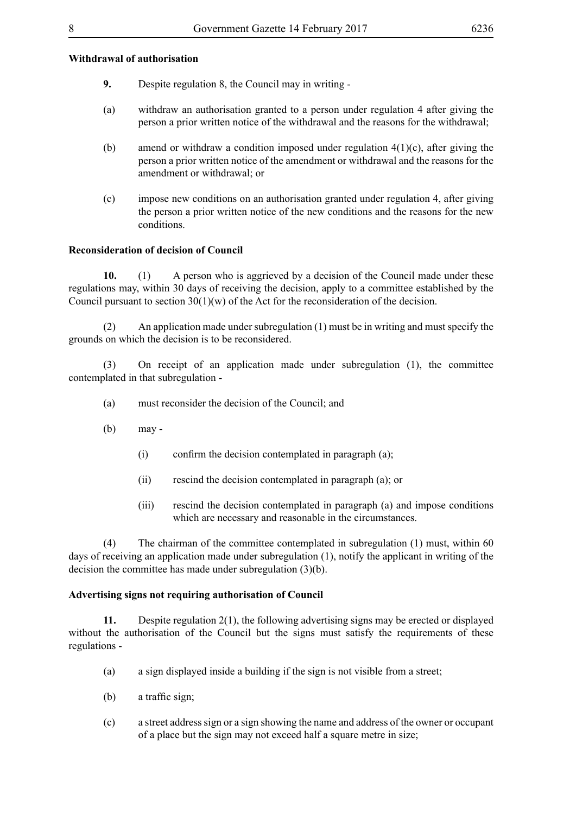#### **Withdrawal of authorisation**

- **9.** Despite regulation 8, the Council may in writing -
- (a) withdraw an authorisation granted to a person under regulation 4 after giving the person a prior written notice of the withdrawal and the reasons for the withdrawal;
- (b) amend or withdraw a condition imposed under regulation  $4(1)(c)$ , after giving the person a prior written notice of the amendment or withdrawal and the reasons for the amendment or withdrawal; or
- (c) impose new conditions on an authorisation granted under regulation 4, after giving the person a prior written notice of the new conditions and the reasons for the new conditions.

#### **Reconsideration of decision of Council**

**10.** (1) A person who is aggrieved by a decision of the Council made under these regulations may, within 30 days of receiving the decision, apply to a committee established by the Council pursuant to section  $30(1)(w)$  of the Act for the reconsideration of the decision.

(2) An application made under subregulation (1) must be in writing and must specify the grounds on which the decision is to be reconsidered.

(3) On receipt of an application made under subregulation (1), the committee contemplated in that subregulation -

- (a) must reconsider the decision of the Council; and
- (b) may
	- $(i)$  confirm the decision contemplated in paragraph  $(a)$ ;
	- (ii) rescind the decision contemplated in paragraph (a); or
	- (iii) rescind the decision contemplated in paragraph (a) and impose conditions which are necessary and reasonable in the circumstances.

(4) The chairman of the committee contemplated in subregulation (1) must, within 60 days of receiving an application made under subregulation (1), notify the applicant in writing of the decision the committee has made under subregulation (3)(b).

#### **Advertising signs not requiring authorisation of Council**

**11.** Despite regulation 2(1), the following advertising signs may be erected or displayed without the authorisation of the Council but the signs must satisfy the requirements of these regulations -

- (a) a sign displayed inside a building if the sign is not visible from a street;
- (b) a traffic sign;
- (c) a street address sign or a sign showing the name and address of the owner or occupant of a place but the sign may not exceed half a square metre in size;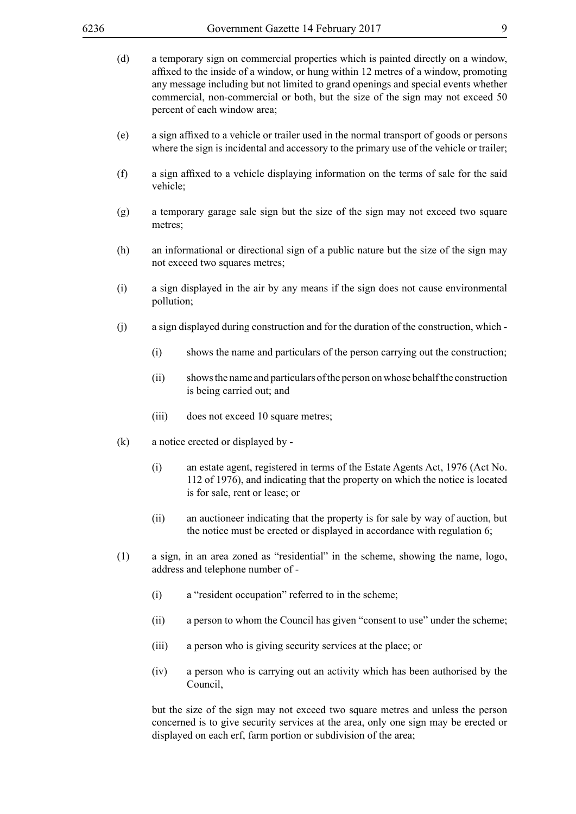- (d) a temporary sign on commercial properties which is painted directly on a window, affixed to the inside of a window, or hung within 12 metres of a window, promoting any message including but not limited to grand openings and special events whether commercial, non-commercial or both, but the size of the sign may not exceed 50 percent of each window area;
- (e) a sign affixed to a vehicle or trailer used in the normal transport of goods or persons where the sign is incidental and accessory to the primary use of the vehicle or trailer;
- (f) a sign affixed to a vehicle displaying information on the terms of sale for the said vehicle;
- (g) a temporary garage sale sign but the size of the sign may not exceed two square metres;
- (h) an informational or directional sign of a public nature but the size of the sign may not exceed two squares metres;
- (i) a sign displayed in the air by any means if the sign does not cause environmental pollution;
- (j) a sign displayed during construction and for the duration of the construction, which
	- (i) shows the name and particulars of the person carrying out the construction;
	- (ii) shows the name and particulars of the person on whose behalf the construction is being carried out; and
	- (iii) does not exceed 10 square metres;
- (k) a notice erected or displayed by
	- (i) an estate agent, registered in terms of the Estate Agents Act, 1976 (Act No. 112 of 1976), and indicating that the property on which the notice is located is for sale, rent or lease; or
	- (ii) an auctioneer indicating that the property is for sale by way of auction, but the notice must be erected or displayed in accordance with regulation 6;
- (1) a sign, in an area zoned as "residential" in the scheme, showing the name, logo, address and telephone number of -
	- (i) a "resident occupation" referred to in the scheme;
	- (ii) a person to whom the Council has given "consent to use" under the scheme;
	- (iii) a person who is giving security services at the place; or
	- (iv) a person who is carrying out an activity which has been authorised by the Council,

but the size of the sign may not exceed two square metres and unless the person concerned is to give security services at the area, only one sign may be erected or displayed on each erf, farm portion or subdivision of the area;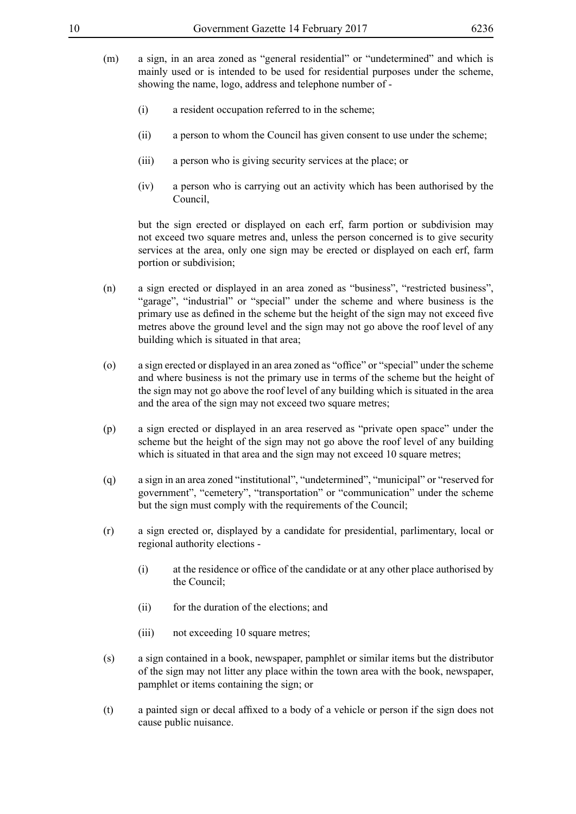- (m) a sign, in an area zoned as "general residential" or "undetermined" and which is mainly used or is intended to be used for residential purposes under the scheme, showing the name, logo, address and telephone number of -
	- (i) a resident occupation referred to in the scheme;
	- (ii) a person to whom the Council has given consent to use under the scheme;
	- (iii) a person who is giving security services at the place; or
	- (iv) a person who is carrying out an activity which has been authorised by the Council,

but the sign erected or displayed on each erf, farm portion or subdivision may not exceed two square metres and, unless the person concerned is to give security services at the area, only one sign may be erected or displayed on each erf, farm portion or subdivision;

- (n) a sign erected or displayed in an area zoned as "business", "restricted business", "garage", "industrial" or "special" under the scheme and where business is the primary use as defined in the scheme but the height of the sign may not exceed five metres above the ground level and the sign may not go above the roof level of any building which is situated in that area;
- (o) a sign erected or displayed in an area zoned as "office" or "special" under the scheme and where business is not the primary use in terms of the scheme but the height of the sign may not go above the roof level of any building which is situated in the area and the area of the sign may not exceed two square metres;
- (p) a sign erected or displayed in an area reserved as "private open space" under the scheme but the height of the sign may not go above the roof level of any building which is situated in that area and the sign may not exceed 10 square metres;
- (q) a sign in an area zoned "institutional", "undetermined", "municipal" or "reserved for government", "cemetery", "transportation" or "communication" under the scheme but the sign must comply with the requirements of the Council;
- (r) a sign erected or, displayed by a candidate for presidential, parlimentary, local or regional authority elections -
	- (i) at the residence or office of the candidate or at any other place authorised by the Council;
	- (ii) for the duration of the elections; and
	- (iii) not exceeding 10 square metres;
- (s) a sign contained in a book, newspaper, pamphlet or similar items but the distributor of the sign may not litter any place within the town area with the book, newspaper, pamphlet or items containing the sign; or
- (t) a painted sign or decal affixed to a body of a vehicle or person if the sign does not cause public nuisance.